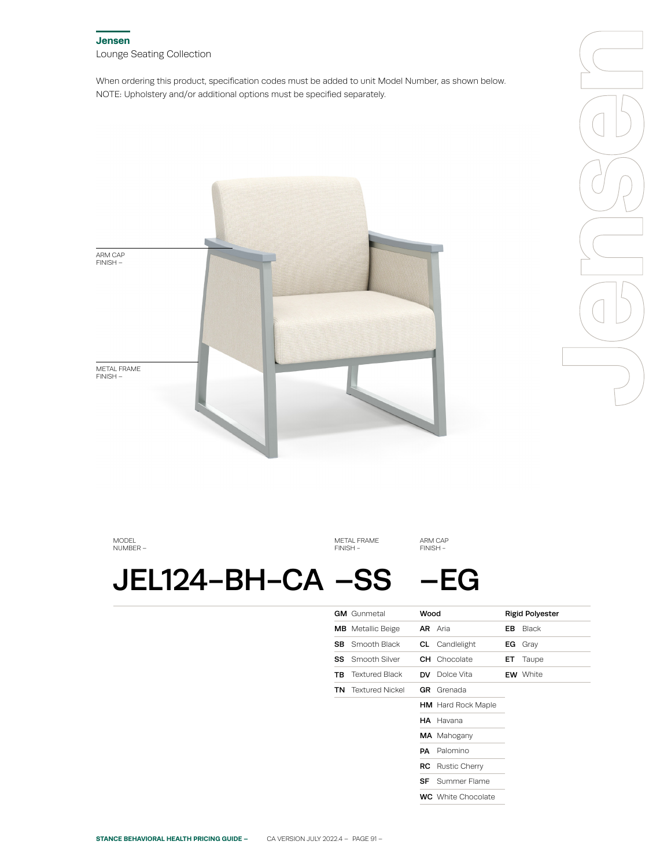## **Jensen** Lounge Seating Collection

When ordering this product, specification codes must be added to unit Model Number, as shown below. NOTE: Upholstery and/or additional options must be specified separately.



MODEL NUMBER –

METAL FRAME FINISH -

ARM CAP FINISH -

# JEL124-BH-CA –SS –EG

|    | <b>GM</b> Gunmetal       | Wood |                           |     | <b>Rigid Polyester</b> |
|----|--------------------------|------|---------------------------|-----|------------------------|
|    | <b>MB</b> Metallic Beige |      | <b>AR</b> Aria            | EB  | <b>Black</b>           |
| SB | Smooth Black             |      | <b>CL</b> Candlelight     | ЕG  | Gray                   |
| SS | Smooth Silver            |      | <b>CH</b> Chocolate       | ET. | Taupe                  |
| ΤВ | <b>Textured Black</b>    | DV   | Dolce Vita                |     | <b>EW</b> White        |
| TN | <b>Textured Nickel</b>   | GR.  | Grenada                   |     |                        |
|    |                          |      | <b>HM</b> Hard Rock Maple |     |                        |
|    |                          |      | <b>HA</b> Havana          |     |                        |
|    |                          |      | MA Mahogany               |     |                        |
|    |                          | PА   | Palomino                  |     |                        |
|    |                          | RC.  | Rustic Cherry             |     |                        |
|    |                          | SF.  | Summer Flame              |     |                        |
|    |                          |      | <b>WC</b> White Chocolate |     |                        |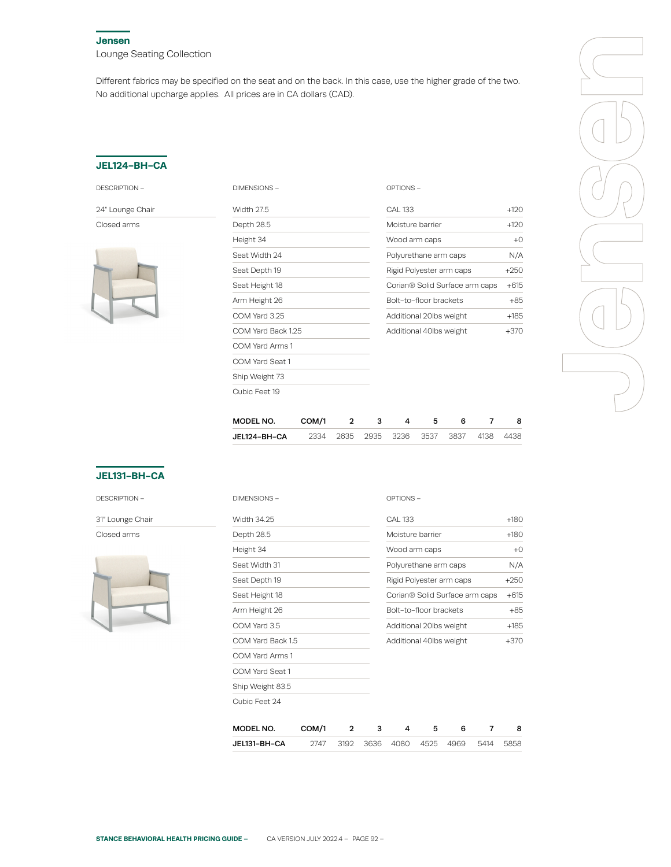#### **Jensen**

Lounge Seating Collection

Different fabrics may be specified on the seat and on the back. In this case, use the higher grade of the two. No additional upcharge applies. All prices are in CA dollars (CAD).

### **JEL124-BH-CA**

| DESCRIPTION |
|-------------|
|-------------|

24" Lounge Chair

Closed arms



| DIMENSIONS-        |       |   |   | OPTIONS-                       |                         |   |   |        |  |
|--------------------|-------|---|---|--------------------------------|-------------------------|---|---|--------|--|
| <b>Width 27.5</b>  |       |   |   | <b>CAL 133</b>                 |                         |   |   | $+120$ |  |
| Depth 28.5         |       |   |   | Moisture barrier               |                         |   |   | $+120$ |  |
| Height 34          |       |   |   | Wood arm caps                  |                         |   |   | $+0$   |  |
| Seat Width 24      |       |   |   | Polyurethane arm caps          |                         |   |   | N/A    |  |
| Seat Depth 19      |       |   |   | Rigid Polyester arm caps       |                         |   |   | $+250$ |  |
| Seat Height 18     |       |   |   | Corian® Solid Surface arm caps |                         |   |   |        |  |
| Arm Height 26      |       |   |   |                                | Bolt-to-floor brackets  |   |   |        |  |
| COM Yard 3.25      |       |   |   |                                | Additional 20lbs weight |   |   |        |  |
| COM Yard Back 1.25 |       |   |   | Additional 40lbs weight        |                         |   |   | $+370$ |  |
| COM Yard Arms 1    |       |   |   |                                |                         |   |   |        |  |
| COM Yard Seat 1    |       |   |   |                                |                         |   |   |        |  |
| Ship Weight 73     |       |   |   |                                |                         |   |   |        |  |
| Cubic Feet 19      |       |   |   |                                |                         |   |   |        |  |
|                    |       |   |   |                                |                         |   |   |        |  |
| MODEL NO.          | COM/1 | 2 | 3 | 4                              | 5                       | 6 | 7 | 8      |  |

JEL124-BH-CA 2334 2635 2935 3236 3537 3837 4138 4438



# **JEL131-BH-CA**

DESCRIPTION –

31" Lounge Chair Closed arms

| MODEL NO.           | COM/1 | 2 | 3 | 4                        | 5 | 6                              | 7 | 8      |
|---------------------|-------|---|---|--------------------------|---|--------------------------------|---|--------|
| Cubic Feet 24       |       |   |   |                          |   |                                |   |        |
| Ship Weight 83.5    |       |   |   |                          |   |                                |   |        |
| COM Yard Seat 1     |       |   |   |                          |   |                                |   |        |
| COM Yard Arms 1     |       |   |   |                          |   |                                |   |        |
| COM Yard Back 1.5   |       |   |   | Additional 40lbs weight  |   |                                |   | $+370$ |
| COM Yard 3.5        |       |   |   | Additional 20lbs weight  |   |                                |   | $+185$ |
| Arm Height 26       |       |   |   | Bolt-to-floor brackets   |   |                                |   | $+85$  |
| Seat Height 18      |       |   |   |                          |   | Corian® Solid Surface arm caps |   | $+615$ |
| Seat Depth 19       |       |   |   | Rigid Polyester arm caps |   |                                |   | $+250$ |
| Seat Width 31       |       |   |   | Polyurethane arm caps    |   |                                |   | N/A    |
| Height 34           |       |   |   | Wood arm caps            |   |                                |   | $+0$   |
| Depth 28.5          |       |   |   | Moisture barrier         |   |                                |   | $+180$ |
| Width 34.25         |       |   |   | <b>CAL 133</b>           |   |                                |   | $+180$ |
| <b>DIMENSIONS -</b> |       |   |   | OPTIONS-                 |   |                                |   |        |

|--|